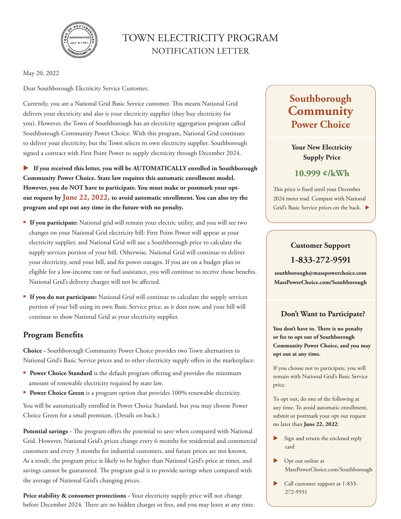

## TOWN ELECTRICITY PROGRAM NOTIFICATION LETTER

May 20, 2022

Dear Southborough Electricity Service Customer,

Currently, you are a National Grid Basic Service customer. This means National Grid delivers your electricity and also is your electricity supplier (they buy electricity for you). However, the Town of Southborough has an electricity aggregation program called Southborough Community Power Choice. With this program, National Grid continues to deliver your electricity, but the Town selects its own electricity supplier. Southborough signed a contract with First Point Power to supply electricity through December 2024.

 **If you received this letter, you will be AUTOMATICALLY enrolled in Southborough Community Power Choice. State law requires this automatic enrollment model. However, you do NOT have to participate. You must make or postmark your optout request by June 22, 2022, to avoid automatic enrollment. You can also try the program and opt out any time in the future with no penalty.** 

- **If you participate:** National grid will remain your electric utility, and you will see two changes on your National Grid electricity bill: First Point Power will appear as your electricity supplier, and National Grid will use a Southborough price to calculate the supply services portion of your bill. Otherwise, National Grid will continue to deliver your electricity, send your bill, and fix power outages. If you are on a budget plan or eligible for a low-income rate or fuel assistance, you will continue to receive those benefits. National Grid's delivery charges will not be affected.
- **If you do not participate:** National Grid will continue to calculate the supply services portion of your bill using its own Basic Service price, as it does now, and your bill will continue to show National Grid as your electricity supplier.

## **Program Benefits**

**Choice -** Southborough Community Power Choice provides two Town alternatives to National Grid's Basic Service prices and to other electricity supply offers in the marketplace:

- **Power Choice Standard** is the default program offering and provides the minimum amount of renewable electricity required by state law.
- **Power Choice Green** is a program option that provides 100% renewable electricity.

You will be automatically enrolled in Power Choice Standard, but you may choose Power Choice Green for a small premium. (Details on back.)

**Potential savings -** The program offers the potential to save when compared with National Grid. However, National Grid's prices change every 6 months for residential and commercial customers and every 3 months for industrial customers, and future prices are not known. As a result, the program price is likely to be higher than National Grid's price at times, and savings cannot be guaranteed. The program goal is to provide savings when compared with the average of National Grid's changing prices.

Price stability & consumer protections - Your electricity supply price will not change before December 2024. There are no hidden charges or fees, and you may leave at any time.

# **Southborough Community Power Choice**

**Your New Electricity Supply Price** 

**10.999 ¢/kWh**

This price is fixed until your December 2024 meter read. Compare with National Grid's Basic Service prices on the back.

## **Customer Support**

## **1-833-272-9591**

**southborough@masspowerchoice.com MassPowerChoice.com/Southborough**

## **Don't Want to Participate?**

**You don't have to. There is no penalty or fee to opt out of Southborough Community Power Choice, and you may opt out at any time.**

If you choose not to participate, you will remain with National Grid's Basic Service price.

To opt out, do one of the following at any time. To avoid automatic enrollment, submit or postmark your opt out request no later than **June 22, 2022**:

- Sign and return the enclosed reply card
- ▶ Opt out online at MassPowerChoice.com/Southborough
- Call customer support at 1-833- 272-9591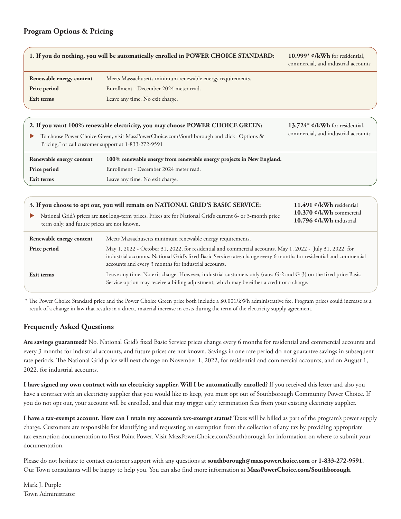#### **Program Options & Pricing**

|                          | 1. If you do nothing, you will be automatically enrolled in POWER CHOICE STANDARD: | 10.999* $\mathfrak{e}/kWh$ for residential,<br>commercial, and industrial accounts |
|--------------------------|------------------------------------------------------------------------------------|------------------------------------------------------------------------------------|
| Renewable energy content | Meets Massachusetts minimum renewable energy requirements.                         |                                                                                    |
| Price period             | Enrollment - December 2024 meter read.                                             |                                                                                    |
| Exit terms               | Leave any time. No exit charge.                                                    |                                                                                    |
|                          |                                                                                    |                                                                                    |
|                          |                                                                                    |                                                                                    |

| Renewable energy content | 100% renewable energy from renewable energy projects in New England.                                                                              |                                             |
|--------------------------|---------------------------------------------------------------------------------------------------------------------------------------------------|---------------------------------------------|
|                          | To choose Power Choice Green, visit MassPowerChoice.com/Southborough and click "Options &<br>Pricing," or call customer support at 1-833-272-9591 | commercial, and industrial accounts         |
|                          | 2. If you want 100% renewable electricity, you may choose POWER CHOICE GREEN:                                                                     | 13.724* $\mathfrak{e}/kWh$ for residential, |

**Price period Exit terms** Enrollment - December 2024 meter read. Leave any time. No exit charge.

| term only, and future prices are not known. | 3. If you choose to opt out, you will remain on NATIONAL GRID'S BASIC SERVICE:<br>11.491 ¢/kWh residential<br>10.370 $\ell$ /kWh commercial<br>National Grid's prices are not long-term prices. Prices are for National Grid's current 6- or 3-month price<br>10.796 $\mathcal{L}/kWh$ industrial                                                      |  |
|---------------------------------------------|--------------------------------------------------------------------------------------------------------------------------------------------------------------------------------------------------------------------------------------------------------------------------------------------------------------------------------------------------------|--|
| Renewable energy content<br>Price period    | Meets Massachusetts minimum renewable energy requirements.<br>May 1, 2022 - October 31, 2022, for residential and commercial accounts. May 1, 2022 - July 31, 2022, for<br>industrial accounts. National Grid's fixed Basic Service rates change every 6 months for residential and commercial<br>accounts and every 3 months for industrial accounts. |  |
| Exit terms                                  | Leave any time. No exit charge. However, industrial customers only (rates G-2 and G-3) on the fixed price Basic<br>Service option may receive a billing adjustment, which may be either a credit or a charge.                                                                                                                                          |  |

\* The Power Choice Standard price and the Power Choice Green price both include a \$0.001/kWh administrative fee. Program prices could increase as a result of a change in law that results in a direct, material increase in costs during the term of the electricity supply agreement.

## **Frequently Asked Questions**

**Are savings guaranteed?** No. National Grid's fixed Basic Service prices change every 6 months for residential and commercial accounts and every 3 months for industrial accounts, and future prices are not known. Savings in one rate period do not guarantee savings in subsequent rate periods. The National Grid price will next change on November 1, 2022, for residential and commercial accounts, and on August 1, 2022, for industrial accounts.

**I have signed my own contract with an electricity supplier. Will I be automatically enrolled?** If you received this letter and also you have a contract with an electricity supplier that you would like to keep, you must opt out of Southborough Community Power Choice. If you do not opt out, your account will be enrolled, and that may trigger early termination fees from your existing electricity supplier.

**I have a tax-exempt account. How can I retain my account's tax-exempt status?** Taxes will be billed as part of the program's power supply charge. Customers are responsible for identifying and requesting an exemption from the collection of any tax by providing appropriate tax-exemption documentation to First Point Power. Visit MassPowerChoice.com/Southborough for information on where to submit your documentation.

Please do not hesitate to contact customer support with any questions at **southborough@masspowerchoice.com** or **1-833-272-9591**. Our Town consultants will be happy to help you. You can also find more information at **MassPowerChoice.com/Southborough**.

Mark J. Purple Town Administrator